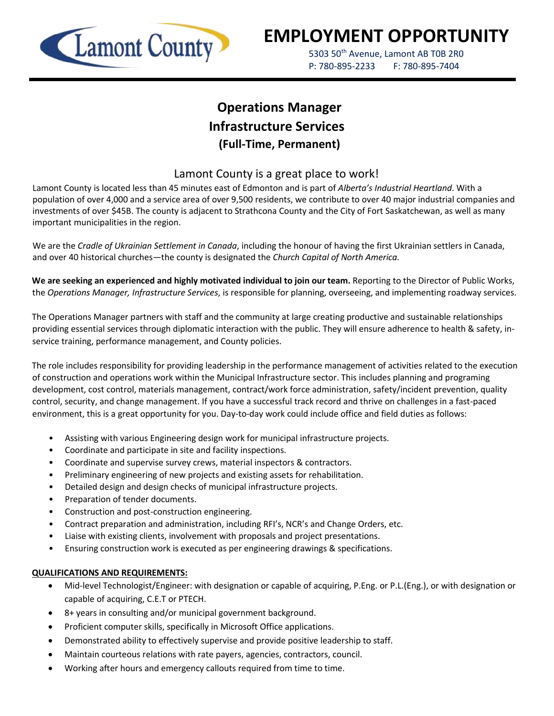

# **EMPLOYMENT OPPORTUNITY**

5303 50<sup>th</sup> Avenue, Lamont AB T0B 2R0 P: 780-895-2233 F: 780-895-7404

## **Operations Manager Infrastructure Services (Full-Time, Permanent)**

### Lamont County is a great place to work!

Lamont County is located less than 45 minutes east of Edmonton and is part of *Alberta's Industrial Heartland*. With a population of over 4,000 and a service area of over 9,500 residents, we contribute to over 40 major industrial companies and investments of over \$45B. The county is adjacent to Strathcona County and the City of Fort Saskatchewan, as well as many important municipalities in the region.

We are the *Cradle of Ukrainian Settlement in Canada*, including the honour of having the first Ukrainian settlers in Canada, and over 40 historical churches—the county is designated the *Church Capital of North America.*

**We are seeking an experienced and highly motivated individual to join our team.** Reporting to the Director of Public Works, the *Operations Manager, Infrastructure Services*, is responsible for planning, overseeing, and implementing roadway services.

The Operations Manager partners with staff and the community at large creating productive and sustainable relationships providing essential services through diplomatic interaction with the public. They will ensure adherence to health & safety, inservice training, performance management, and County policies.

The role includes responsibility for providing leadership in the performance management of activities related to the execution of construction and operations work within the Municipal Infrastructure sector. This includes planning and programing development, cost control, materials management, contract/work force administration, safety/incident prevention, quality control, security, and change management. If you have a successful track record and thrive on challenges in a fast-paced environment, this is a great opportunity for you. Day-to-day work could include office and field duties as follows:

- Assisting with various Engineering design work for municipal infrastructure projects.
- Coordinate and participate in site and facility inspections.
- Coordinate and supervise survey crews, material inspectors & contractors.
- Preliminary engineering of new projects and existing assets for rehabilitation.
- Detailed design and design checks of municipal infrastructure projects.
- Preparation of tender documents.
- Construction and post-construction engineering.
- Contract preparation and administration, including RFI's, NCR's and Change Orders, etc.
- Liaise with existing clients, involvement with proposals and project presentations.
- Ensuring construction work is executed as per engineering drawings & specifications.

#### **QUALIFICATIONS AND REQUIREMENTS:**

- Mid-level Technologist/Engineer: with designation or capable of acquiring, P.Eng. or P.L.(Eng.), or with designation or capable of acquiring, C.E.T or PTECH.
- 8+ years in consulting and/or municipal government background.
- Proficient computer skills, specifically in Microsoft Office applications.
- Demonstrated ability to effectively supervise and provide positive leadership to staff.
- Maintain courteous relations with rate payers, agencies, contractors, council.
- Working after hours and emergency callouts required from time to time.